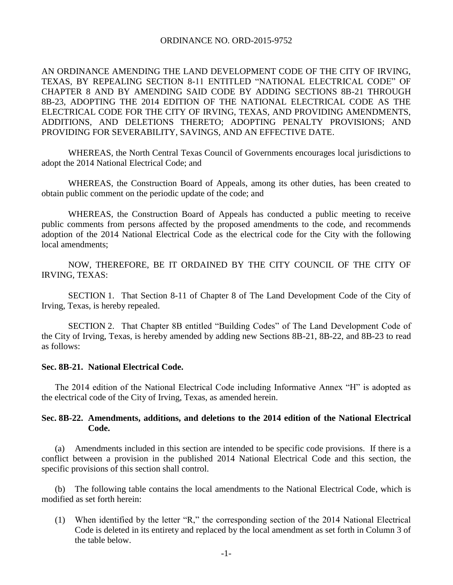## ORDINANCE NO. ORD-2015-9752

AN ORDINANCE AMENDING THE LAND DEVELOPMENT CODE OF THE CITY OF IRVING, TEXAS, BY REPEALING SECTION 8-11 ENTITLED "NATIONAL ELECTRICAL CODE" OF CHAPTER 8 AND BY AMENDING SAID CODE BY ADDING SECTIONS 8B-21 THROUGH 8B-23, ADOPTING THE 2014 EDITION OF THE NATIONAL ELECTRICAL CODE AS THE ELECTRICAL CODE FOR THE CITY OF IRVING, TEXAS, AND PROVIDING AMENDMENTS, ADDITIONS, AND DELETIONS THERETO; ADOPTING PENALTY PROVISIONS; AND PROVIDING FOR SEVERABILITY, SAVINGS, AND AN EFFECTIVE DATE.

WHEREAS, the North Central Texas Council of Governments encourages local jurisdictions to adopt the 2014 National Electrical Code; and

WHEREAS, the Construction Board of Appeals, among its other duties, has been created to obtain public comment on the periodic update of the code; and

WHEREAS, the Construction Board of Appeals has conducted a public meeting to receive public comments from persons affected by the proposed amendments to the code, and recommends adoption of the 2014 National Electrical Code as the electrical code for the City with the following local amendments;

NOW, THEREFORE, BE IT ORDAINED BY THE CITY COUNCIL OF THE CITY OF IRVING, TEXAS:

SECTION 1. That Section 8-11 of Chapter 8 of The Land Development Code of the City of Irving, Texas, is hereby repealed.

SECTION 2. That Chapter 8B entitled "Building Codes" of The Land Development Code of the City of Irving, Texas, is hereby amended by adding new Sections 8B-21, 8B-22, and 8B-23 to read as follows:

## **Sec. 8B-21. National Electrical Code.**

The 2014 edition of the National Electrical Code including Informative Annex "H" is adopted as the electrical code of the City of Irving, Texas, as amended herein.

## **Sec. 8B-22. Amendments, additions, and deletions to the 2014 edition of the National Electrical Code.**

(a) Amendments included in this section are intended to be specific code provisions. If there is a conflict between a provision in the published 2014 National Electrical Code and this section, the specific provisions of this section shall control.

The following table contains the local amendments to the National Electrical Code, which is modified as set forth herein:

(1) When identified by the letter "R," the corresponding section of the 2014 National Electrical Code is deleted in its entirety and replaced by the local amendment as set forth in Column 3 of the table below.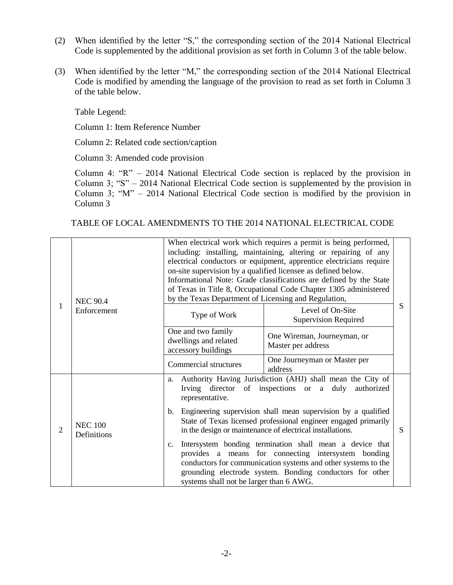- (2) When identified by the letter "S," the corresponding section of the 2014 National Electrical Code is supplemented by the additional provision as set forth in Column 3 of the table below.
- (3) When identified by the letter "M," the corresponding section of the 2014 National Electrical Code is modified by amending the language of the provision to read as set forth in Column 3 of the table below.

Table Legend:

Column 1: Item Reference Number

Column 2: Related code section/caption

Column 3: Amended code provision

Column 4: "R" – 2014 National Electrical Code section is replaced by the provision in Column 3; "S" – 2014 National Electrical Code section is supplemented by the provision in Column 3; "M" – 2014 National Electrical Code section is modified by the provision in Column 3

TABLE OF LOCAL AMENDMENTS TO THE 2014 NATIONAL ELECTRICAL CODE

| 1 | <b>NEC 90.4</b><br>Enforcement | When electrical work which requires a permit is being performed,<br>including: installing, maintaining, altering or repairing of any<br>electrical conductors or equipment, apprentice electricians require<br>on-site supervision by a qualified licensee as defined below.<br>Informational Note: Grade classifications are defined by the State<br>of Texas in Title 8, Occupational Code Chapter 1305 administered<br>by the Texas Department of Licensing and Regulation, |                                                                                                                                                                                                                                              |   |
|---|--------------------------------|--------------------------------------------------------------------------------------------------------------------------------------------------------------------------------------------------------------------------------------------------------------------------------------------------------------------------------------------------------------------------------------------------------------------------------------------------------------------------------|----------------------------------------------------------------------------------------------------------------------------------------------------------------------------------------------------------------------------------------------|---|
|   |                                | Type of Work                                                                                                                                                                                                                                                                                                                                                                                                                                                                   | Level of On-Site<br><b>Supervision Required</b>                                                                                                                                                                                              | S |
|   |                                | One and two family<br>dwellings and related<br>accessory buildings                                                                                                                                                                                                                                                                                                                                                                                                             | One Wireman, Journeyman, or<br>Master per address                                                                                                                                                                                            |   |
|   |                                | Commercial structures                                                                                                                                                                                                                                                                                                                                                                                                                                                          | One Journeyman or Master per<br>address                                                                                                                                                                                                      |   |
| 2 | <b>NEC 100</b><br>Definitions  | a.<br>representative.                                                                                                                                                                                                                                                                                                                                                                                                                                                          | Authority Having Jurisdiction (AHJ) shall mean the City of<br>Irving director of inspections or a duly<br>authorized                                                                                                                         |   |
|   |                                | b.                                                                                                                                                                                                                                                                                                                                                                                                                                                                             | Engineering supervision shall mean supervision by a qualified<br>State of Texas licensed professional engineer engaged primarily<br>in the design or maintenance of electrical installations.                                                | S |
|   |                                | c.<br>systems shall not be larger than 6 AWG.                                                                                                                                                                                                                                                                                                                                                                                                                                  | Intersystem bonding termination shall mean a device that<br>provides a means for connecting intersystem bonding<br>conductors for communication systems and other systems to the<br>grounding electrode system. Bonding conductors for other |   |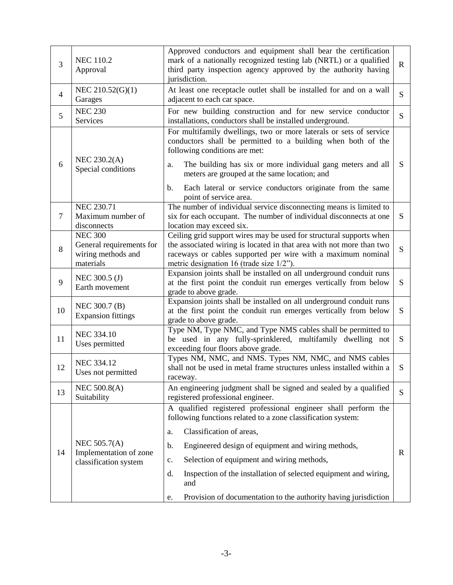| 3              | <b>NEC 110.2</b><br>Approval                                                  | Approved conductors and equipment shall bear the certification<br>mark of a nationally recognized testing lab (NRTL) or a qualified<br>$\mathbf R$<br>third party inspection agency approved by the authority having<br>jurisdiction.                      |             |  |
|----------------|-------------------------------------------------------------------------------|------------------------------------------------------------------------------------------------------------------------------------------------------------------------------------------------------------------------------------------------------------|-------------|--|
| $\overline{4}$ | NEC 210.52(G)(1)<br>Garages                                                   | At least one receptacle outlet shall be installed for and on a wall<br>adjacent to each car space.                                                                                                                                                         |             |  |
| 5              | <b>NEC 230</b><br>Services                                                    | For new building construction and for new service conductor<br>installations, conductors shall be installed underground.                                                                                                                                   | S           |  |
| 6              | NEC 230.2(A)<br>Special conditions                                            | For multifamily dwellings, two or more laterals or sets of service<br>conductors shall be permitted to a building when both of the<br>following conditions are met:                                                                                        |             |  |
|                |                                                                               | The building has six or more individual gang meters and all<br>a.<br>meters are grouped at the same location; and                                                                                                                                          | S           |  |
|                |                                                                               | Each lateral or service conductors originate from the same<br>$\mathbf{b}$ .<br>point of service area.                                                                                                                                                     |             |  |
| $\overline{7}$ | <b>NEC 230.71</b><br>Maximum number of<br>disconnects                         | The number of individual service disconnecting means is limited to<br>six for each occupant. The number of individual disconnects at one<br>location may exceed six.                                                                                       | S           |  |
| 8              | <b>NEC 300</b><br>General requirements for<br>wiring methods and<br>materials | Ceiling grid support wires may be used for structural supports when<br>the associated wiring is located in that area with not more than two<br>raceways or cables supported per wire with a maximum nominal<br>metric designation 16 (trade size $1/2$ "). | S           |  |
| 9              | NEC 300.5 (J)<br>Earth movement                                               | Expansion joints shall be installed on all underground conduit runs<br>at the first point the conduit run emerges vertically from below<br>grade to above grade.                                                                                           | S           |  |
| 10             | NEC 300.7 (B)<br><b>Expansion fittings</b>                                    | Expansion joints shall be installed on all underground conduit runs<br>at the first point the conduit run emerges vertically from below<br>grade to above grade.                                                                                           | S           |  |
| 11             | <b>NEC 334.10</b><br>Uses permitted                                           | Type NM, Type NMC, and Type NMS cables shall be permitted to<br>be used in any fully-sprinklered, multifamily dwelling not<br>exceeding four floors above grade.                                                                                           | S           |  |
| 12             | <b>NEC 334.12</b><br>Uses not permitted                                       | Types NM, NMC, and NMS. Types NM, NMC, and NMS cables<br>shall not be used in metal frame structures unless installed within a<br>raceway.                                                                                                                 | S           |  |
| 13             | <b>NEC 500.8(A)</b><br>Suitability                                            | An engineering judgment shall be signed and sealed by a qualified<br>registered professional engineer.                                                                                                                                                     | S           |  |
|                | NEC 505.7(A)<br>Implementation of zone<br>classification system               | A qualified registered professional engineer shall perform the<br>following functions related to a zone classification system:                                                                                                                             |             |  |
|                |                                                                               | Classification of areas,<br>a.                                                                                                                                                                                                                             |             |  |
| 14             |                                                                               | Engineered design of equipment and wiring methods,<br>b.                                                                                                                                                                                                   | $\mathbf R$ |  |
|                |                                                                               | Selection of equipment and wiring methods,<br>c.                                                                                                                                                                                                           |             |  |
|                |                                                                               | Inspection of the installation of selected equipment and wiring,<br>d.<br>and                                                                                                                                                                              |             |  |
|                |                                                                               | Provision of documentation to the authority having jurisdiction<br>e.                                                                                                                                                                                      |             |  |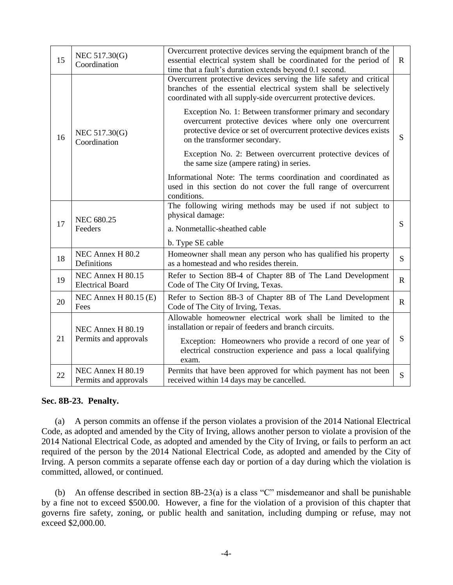| 15 | NEC 517.30(G)<br>Coordination                | Overcurrent protective devices serving the equipment branch of the<br>essential electrical system shall be coordinated for the period of<br>time that a fault's duration extends beyond 0.1 second.                           | $\mathbf{R}$ |  |
|----|----------------------------------------------|-------------------------------------------------------------------------------------------------------------------------------------------------------------------------------------------------------------------------------|--------------|--|
| 16 | NEC 517.30(G)<br>Coordination                | Overcurrent protective devices serving the life safety and critical<br>branches of the essential electrical system shall be selectively<br>coordinated with all supply-side overcurrent protective devices.                   |              |  |
|    |                                              | Exception No. 1: Between transformer primary and secondary<br>overcurrent protective devices where only one overcurrent<br>protective device or set of overcurrent protective devices exists<br>on the transformer secondary. | S            |  |
|    |                                              | Exception No. 2: Between overcurrent protective devices of<br>the same size (ampere rating) in series.                                                                                                                        |              |  |
|    |                                              | Informational Note: The terms coordination and coordinated as<br>used in this section do not cover the full range of overcurrent<br>conditions.                                                                               |              |  |
| 17 | <b>NEC 680.25</b><br>Feeders                 | The following wiring methods may be used if not subject to<br>physical damage:                                                                                                                                                |              |  |
|    |                                              | a. Nonmetallic-sheathed cable                                                                                                                                                                                                 | S            |  |
|    |                                              | b. Type SE cable                                                                                                                                                                                                              |              |  |
| 18 | NEC Annex H 80.2<br>Definitions              | Homeowner shall mean any person who has qualified his property<br>as a homestead and who resides therein.                                                                                                                     | S            |  |
| 19 | NEC Annex H 80.15<br><b>Electrical Board</b> | Refer to Section 8B-4 of Chapter 8B of The Land Development<br>Code of The City Of Irving, Texas.                                                                                                                             | $\mathbf{R}$ |  |
| 20 | NEC Annex H $80.15$ (E)<br>Fees              | Refer to Section 8B-3 of Chapter 8B of The Land Development<br>Code of The City of Irving, Texas.                                                                                                                             | $\mathbf{R}$ |  |
| 21 | NEC Annex H 80.19<br>Permits and approvals   | Allowable homeowner electrical work shall be limited to the<br>installation or repair of feeders and branch circuits.                                                                                                         |              |  |
|    |                                              | Exception: Homeowners who provide a record of one year of<br>electrical construction experience and pass a local qualifying<br>exam.                                                                                          | S            |  |
| 22 | NEC Annex H 80.19<br>Permits and approvals   | Permits that have been approved for which payment has not been<br>received within 14 days may be cancelled.                                                                                                                   | S            |  |

## **Sec. 8B-23. Penalty.**

(a) A person commits an offense if the person violates a provision of the 2014 National Electrical Code, as adopted and amended by the City of Irving, allows another person to violate a provision of the 2014 National Electrical Code, as adopted and amended by the City of Irving, or fails to perform an act required of the person by the 2014 National Electrical Code, as adopted and amended by the City of Irving. A person commits a separate offense each day or portion of a day during which the violation is committed, allowed, or continued.

(b) An offense described in section 8B-23(a) is a class "C" misdemeanor and shall be punishable by a fine not to exceed \$500.00. However, a fine for the violation of a provision of this chapter that governs fire safety, zoning, or public health and sanitation, including dumping or refuse, may not exceed \$2,000.00.